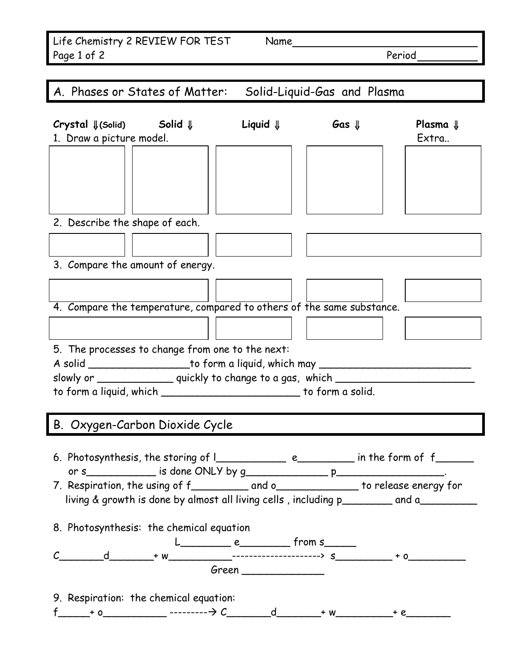| Life Chemistry 2 REVIEW FOR TEST | Name |        |
|----------------------------------|------|--------|
| Page 1 of 2                      |      | Period |

| A. Phases or States of Matter: Solid-Liquid-Gas and Plasma                             |  |  |                              |  |
|----------------------------------------------------------------------------------------|--|--|------------------------------|--|
| Crystal ↓(Solid) Solid ↓ Liquid ↓ Gas ↓<br>1. Draw a picture model.                    |  |  | Plasma $\Downarrow$<br>Extra |  |
|                                                                                        |  |  |                              |  |
| 2. Describe the shape of each.                                                         |  |  |                              |  |
|                                                                                        |  |  |                              |  |
| 3. Compare the amount of energy.                                                       |  |  |                              |  |
|                                                                                        |  |  |                              |  |
|                                                                                        |  |  |                              |  |
| 4. Compare the temperature, compared to others of the same substance.                  |  |  |                              |  |
|                                                                                        |  |  |                              |  |
| 5. The processes to change from one to the next:                                       |  |  |                              |  |
| A solid ______________________to form a liquid, which may ______________________       |  |  |                              |  |
| slowly or ______________ quickly to change to a gas, which _______                     |  |  |                              |  |
| to form a liquid, which ___________________________ to form a solid.                   |  |  |                              |  |
|                                                                                        |  |  |                              |  |
| B. Oxygen-Carbon Dioxide Cycle                                                         |  |  |                              |  |
|                                                                                        |  |  |                              |  |
|                                                                                        |  |  |                              |  |
|                                                                                        |  |  |                              |  |
| 7. Respiration, the using of f__________ and o____________ to release energy for       |  |  |                              |  |
| living & growth is done by almost all living cells, including p________ and a_________ |  |  |                              |  |
| 8. Photosynthesis: the chemical equation                                               |  |  |                              |  |

 $L$   $e$   $f$ rom s C\_\_\_\_\_\_\_d\_\_\_\_\_\_\_+ w\_\_\_\_\_\_\_\_\_\_---------------------> s\_\_\_\_\_\_\_\_\_ + o\_\_\_\_\_\_\_\_\_ Green \_\_\_\_\_\_\_\_\_\_\_\_\_

9. Respiration: the chemical equation:

f\_\_\_\_\_+ o\_\_\_\_\_\_\_\_\_\_ --------- C\_\_\_\_\_\_\_d\_\_\_\_\_\_\_+ w\_\_\_\_\_\_\_\_\_+ e\_\_\_\_\_\_\_